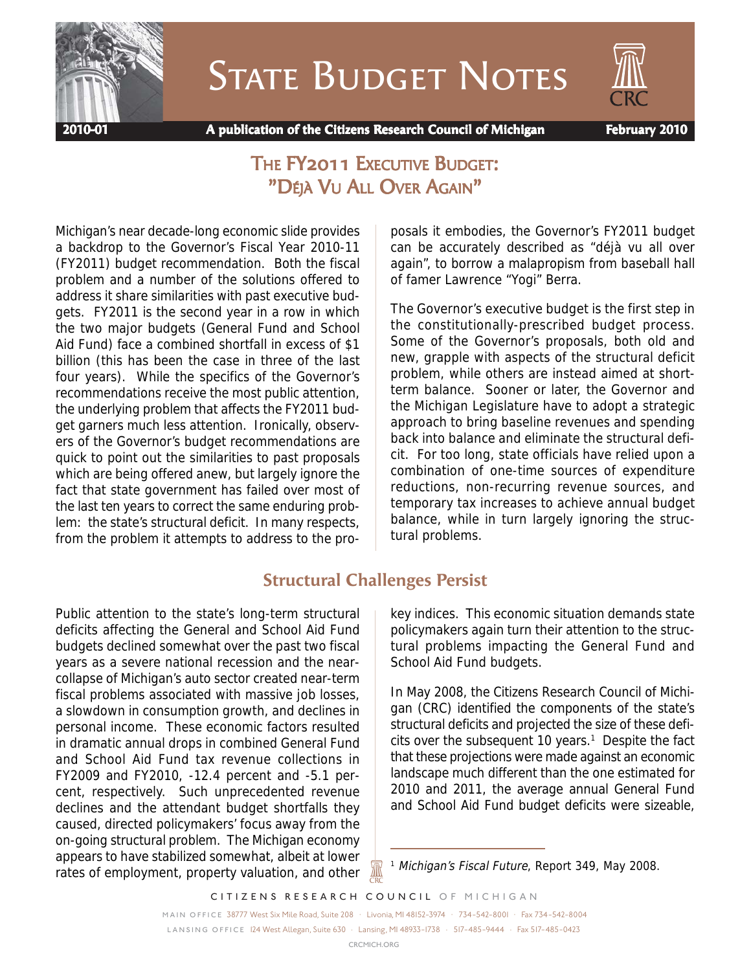

STATE BUDGET NOTES



 **2010-01 A publication of the Citizens Research Council of Michigan February 2010**

# THE **FY2011 EXECUTIVE BUDGET:** "DÉJÀ VU ALL OVER AGAIN"

Michigan's near decade-long economic slide provides a backdrop to the Governor's Fiscal Year 2010-11 (FY2011) budget recommendation. Both the fiscal problem and a number of the solutions offered to address it share similarities with past executive budgets. FY2011 is the second year in a row in which the two major budgets (General Fund and School Aid Fund) face a combined shortfall in excess of \$1 billion (this has been the case in three of the last four years). While the specifics of the Governor's recommendations receive the most public attention, the underlying problem that affects the FY2011 budget garners much less attention. Ironically, observers of the Governor's budget recommendations are quick to point out the similarities to past proposals which are being offered anew, but largely ignore the fact that state government has failed over most of the last ten years to correct the same enduring problem: the state's structural deficit. In many respects, from the problem it attempts to address to the proposals it embodies, the Governor's FY2011 budget can be accurately described as "déjà vu all over again", to borrow a malapropism from baseball hall of famer Lawrence "Yogi" Berra.

The Governor's executive budget is the first step in the constitutionally-prescribed budget process. Some of the Governor's proposals, both old and new, grapple with aspects of the structural deficit problem, while others are instead aimed at shortterm balance. Sooner or later, the Governor and the Michigan Legislature have to adopt a strategic approach to bring baseline revenues and spending back into balance and eliminate the structural deficit. For too long, state officials have relied upon a combination of one-time sources of expenditure reductions, non-recurring revenue sources, and temporary tax increases to achieve annual budget balance, while in turn largely ignoring the structural problems.

## **Structural Challenges Persist**

Public attention to the state's long-term structural deficits affecting the General and School Aid Fund budgets declined somewhat over the past two fiscal years as a severe national recession and the nearcollapse of Michigan's auto sector created near-term fiscal problems associated with massive job losses, a slowdown in consumption growth, and declines in personal income. These economic factors resulted in dramatic annual drops in combined General Fund and School Aid Fund tax revenue collections in FY2009 and FY2010, -12.4 percent and -5.1 percent, respectively. Such unprecedented revenue declines and the attendant budget shortfalls they caused, directed policymakers' focus away from the on-going structural problem. The Michigan economy appears to have stabilized somewhat, albeit at lower rates of employment, property valuation, and other key indices. This economic situation demands state policymakers again turn their attention to the structural problems impacting the General Fund and School Aid Fund budgets.

In May 2008, the Citizens Research Council of Michigan (CRC) identified the components of the state's structural deficits and projected the size of these defi $c$  its over the subsequent 10 years.<sup>1</sup> Despite the fact that these projections were made against an economic landscape much different than the one estimated for 2010 and 2011, the average annual General Fund and School Aid Fund budget deficits were sizeable,

*CITIZENS RESEARCH COUNCIL OF MICHIGAN*

<sup>&</sup>lt;sup>1</sup> Michigan's Fiscal Future, Report 349, May 2008.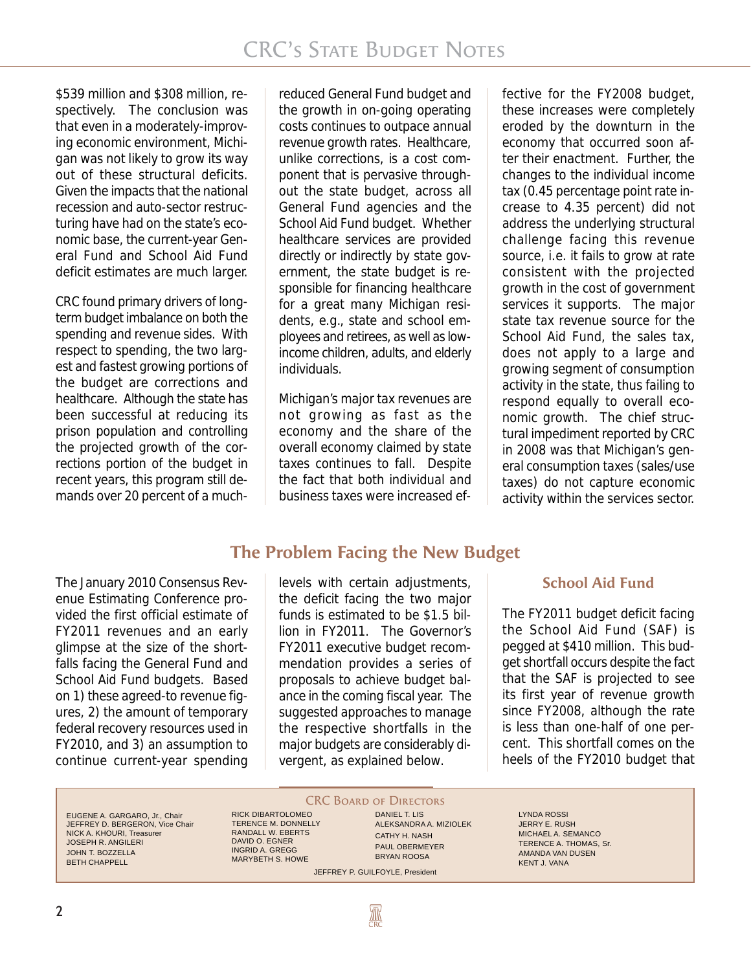\$539 million and \$308 million, respectively. The conclusion was that even in a moderately-improving economic environment, Michigan was not likely to grow its way out of these structural deficits. Given the impacts that the national recession and auto-sector restructuring have had on the state's economic base, the current-year General Fund and School Aid Fund deficit estimates are much larger.

CRC found primary drivers of longterm budget imbalance on both the spending and revenue sides. With respect to spending, the two largest and fastest growing portions of the budget are corrections and healthcare. Although the state has been successful at reducing its prison population and controlling the projected growth of the corrections portion of the budget in recent years, this program still demands over 20 percent of a much-

reduced General Fund budget and the growth in on-going operating costs continues to outpace annual revenue growth rates. Healthcare, unlike corrections, is a cost component that is pervasive throughout the state budget, across all General Fund agencies and the School Aid Fund budget. Whether healthcare services are provided directly or indirectly by state government, the state budget is responsible for financing healthcare for a great many Michigan residents, e.g., state and school employees and retirees, as well as lowincome children, adults, and elderly individuals.

Michigan's major tax revenues are not growing as fast as the economy and the share of the overall economy claimed by state taxes continues to fall. Despite the fact that both individual and business taxes were increased effective for the FY2008 budget, these increases were completely eroded by the downturn in the economy that occurred soon after their enactment. Further, the changes to the individual income tax (0.45 percentage point rate increase to 4.35 percent) did not address the underlying structural challenge facing this revenue source, i.e. it fails to grow at rate consistent with the projected growth in the cost of government services it supports. The major state tax revenue source for the School Aid Fund, the sales tax, does not apply to a large and growing segment of consumption activity in the state, thus failing to respond equally to overall economic growth. The chief structural impediment reported by CRC in 2008 was that Michigan's general consumption taxes (sales/use taxes) do not capture economic activity within the services sector.

The January 2010 Consensus Revenue Estimating Conference provided the first official estimate of FY2011 revenues and an early glimpse at the size of the shortfalls facing the General Fund and School Aid Fund budgets. Based on 1) these agreed-to revenue figures, 2) the amount of temporary federal recovery resources used in FY2010, and 3) an assumption to continue current-year spending

## **The Problem Facing the New Budget**

levels with certain adjustments, the deficit facing the two major funds is estimated to be \$1.5 billion in FY2011. The Governor's FY2011 executive budget recommendation provides a series of proposals to achieve budget balance in the coming fiscal year. The suggested approaches to manage the respective shortfalls in the major budgets are considerably divergent, as explained below.

#### **School Aid Fund**

The FY2011 budget deficit facing the School Aid Fund (SAF) is pegged at \$410 million. This budget shortfall occurs despite the fact that the SAF is projected to see its first year of revenue growth since FY2008, although the rate is less than one-half of one percent. This shortfall comes on the heels of the FY2010 budget that

EUGENE A. GARGARO, Jr., Chair JEFFREY D. BERGERON, Vice Chair NICK A. KHOURI, Treasurer JOSEPH R. ANGILERI JOHN T. BOZZELLA BETH CHAPPELL

**CRC BOARD OF DIRECTORS** 

**AN** 

RICK DIBARTOLOMEO TERENCE M. DONNELLY RANDALL W. EBERTS DAVID O. EGNER INGRID A. GREGG MARYBETH S. HOWE

DANIEL T. LIS ALEKSANDRA A. MIZIOLEK CATHY H. NASH PAUL OBERMEYER BRYAN ROOSA JEFFREY P. GUILFOYLE, President

LYNDA ROSSI JERRY E. RUSH MICHAEL A. SEMANCO TERENCE A. THOMAS, Sr. AMANDA VAN DUSEN KENT J. VANA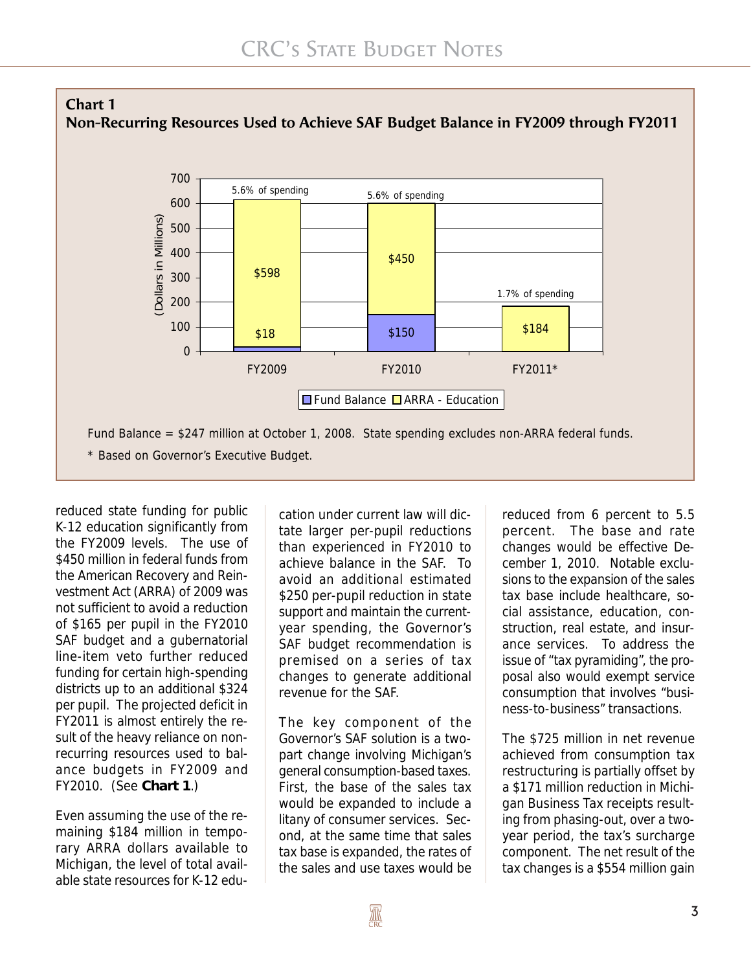

reduced state funding for public K-12 education significantly from the FY2009 levels. The use of \$450 million in federal funds from the American Recovery and Reinvestment Act (ARRA) of 2009 was not sufficient to avoid a reduction of \$165 per pupil in the FY2010 SAF budget and a gubernatorial line-item veto further reduced funding for certain high-spending districts up to an additional \$324 per pupil. The projected deficit in FY2011 is almost entirely the result of the heavy reliance on nonrecurring resources used to balance budgets in FY2009 and FY2010. (See **Chart 1**.)

Even assuming the use of the remaining \$184 million in temporary ARRA dollars available to Michigan, the level of total available state resources for K-12 education under current law will dictate larger per-pupil reductions than experienced in FY2010 to achieve balance in the SAF. To avoid an additional estimated \$250 per-pupil reduction in state support and maintain the currentyear spending, the Governor's SAF budget recommendation is premised on a series of tax changes to generate additional revenue for the SAF.

The key component of the Governor's SAF solution is a twopart change involving Michigan's general consumption-based taxes. First, the base of the sales tax would be expanded to include a litany of consumer services. Second, at the same time that sales tax base is expanded, the rates of the sales and use taxes would be

reduced from 6 percent to 5.5 percent. The base and rate changes would be effective December 1, 2010. Notable exclusions to the expansion of the sales tax base include healthcare, social assistance, education, construction, real estate, and insurance services. To address the issue of "tax pyramiding", the proposal also would exempt service consumption that involves "business-to-business" transactions.

The \$725 million in net revenue achieved from consumption tax restructuring is partially offset by a \$171 million reduction in Michigan Business Tax receipts resulting from phasing-out, over a twoyear period, the tax's surcharge component. The net result of the tax changes is a \$554 million gain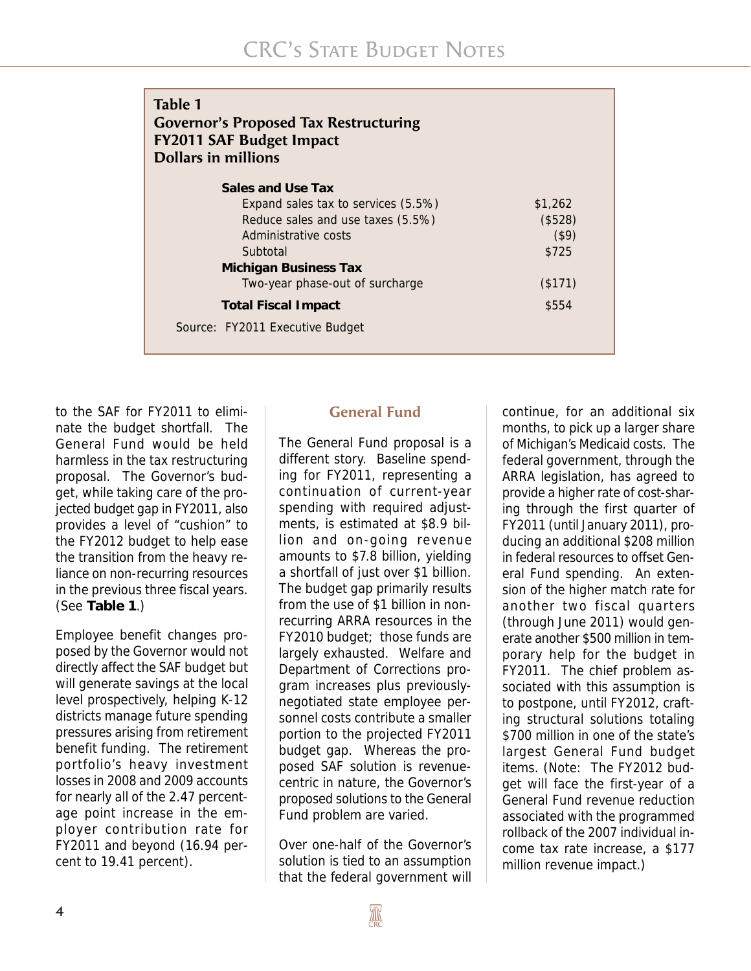| Table 1<br><b>Governor's Proposed Tax Restructuring</b><br><b>FY2011 SAF Budget Impact</b><br><b>Dollars in millions</b> |            |
|--------------------------------------------------------------------------------------------------------------------------|------------|
| Sales and Use Tax                                                                                                        |            |
| Expand sales tax to services (5.5%)                                                                                      | \$1,262    |
| Reduce sales and use taxes (5.5%)                                                                                        | (\$528)    |
| Administrative costs                                                                                                     | $($ \$9)   |
| Subtotal                                                                                                                 | \$725      |
| <b>Michigan Business Tax</b>                                                                                             |            |
| Two-year phase-out of surcharge                                                                                          | $($ \$171) |
| <b>Total Fiscal Impact</b>                                                                                               | \$554      |
| Source: FY2011 Executive Budget                                                                                          |            |

to the SAF for FY2011 to eliminate the budget shortfall. The General Fund would be held harmless in the tax restructuring proposal. The Governor's budget, while taking care of the projected budget gap in FY2011, also provides a level of "cushion" to the FY2012 budget to help ease the transition from the heavy reliance on non-recurring resources in the previous three fiscal years. (See **Table 1**.)

Employee benefit changes proposed by the Governor would not directly affect the SAF budget but will generate savings at the local level prospectively, helping K-12 districts manage future spending pressures arising from retirement benefit funding. The retirement portfolio's heavy investment losses in 2008 and 2009 accounts for nearly all of the 2.47 percentage point increase in the employer contribution rate for FY2011 and beyond (16.94 percent to 19.41 percent).

#### **General Fund**

The General Fund proposal is a different story. Baseline spending for FY2011, representing a continuation of current-year spending with required adjustments, is estimated at \$8.9 billion and on-going revenue amounts to \$7.8 billion, yielding a shortfall of just over \$1 billion. The budget gap primarily results from the use of \$1 billion in nonrecurring ARRA resources in the FY2010 budget; those funds are largely exhausted. Welfare and Department of Corrections program increases plus previouslynegotiated state employee personnel costs contribute a smaller portion to the projected FY2011 budget gap. Whereas the proposed SAF solution is revenuecentric in nature, the Governor's proposed solutions to the General Fund problem are varied.

Over one-half of the Governor's solution is tied to an assumption that the federal government will

continue, for an additional six months, to pick up a larger share of Michigan's Medicaid costs. The federal government, through the ARRA legislation, has agreed to provide a higher rate of cost-sharing through the first quarter of FY2011 (until January 2011), producing an additional \$208 million in federal resources to offset General Fund spending. An extension of the higher match rate for another two fiscal quarters (through June 2011) would generate another \$500 million in temporary help for the budget in FY2011. The chief problem associated with this assumption is to postpone, until FY2012, crafting structural solutions totaling \$700 million in one of the state's largest General Fund budget items. (Note: The FY2012 budget will face the first-year of a General Fund revenue reduction associated with the programmed rollback of the 2007 individual income tax rate increase, a \$177 million revenue impact.)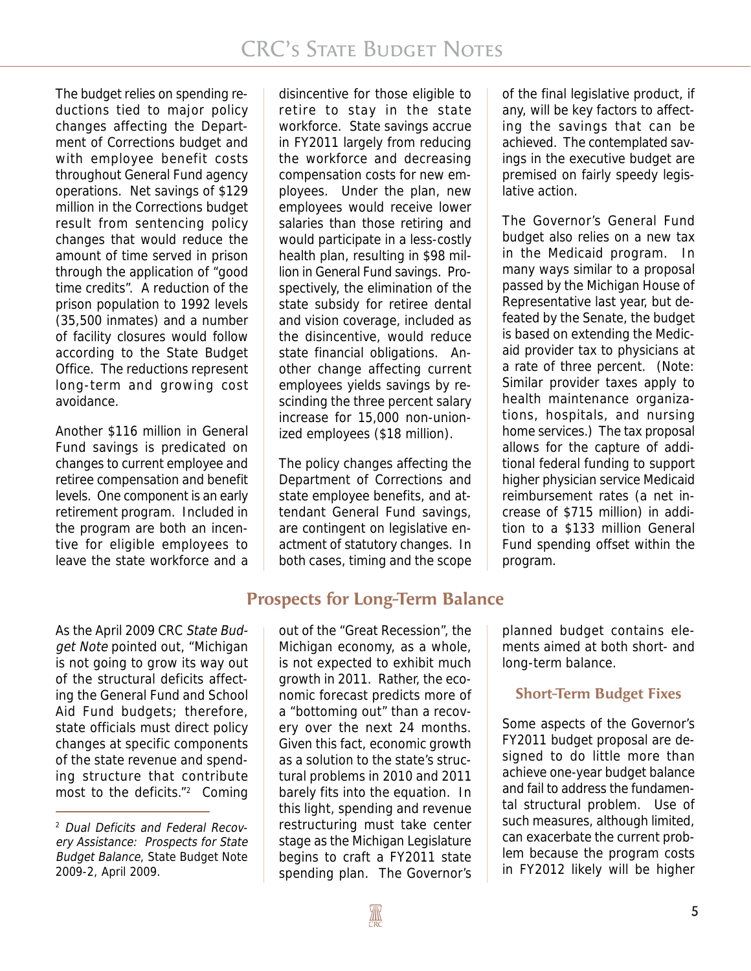The budget relies on spending reductions tied to major policy changes affecting the Department of Corrections budget and with employee benefit costs throughout General Fund agency operations. Net savings of \$129 million in the Corrections budget result from sentencing policy changes that would reduce the amount of time served in prison through the application of "good time credits". A reduction of the prison population to 1992 levels (35,500 inmates) and a number of facility closures would follow according to the State Budget Office. The reductions represent long-term and growing cost avoidance.

Another \$116 million in General Fund savings is predicated on changes to current employee and retiree compensation and benefit levels. One component is an early retirement program. Included in the program are both an incentive for eligible employees to leave the state workforce and a

disincentive for those eligible to retire to stay in the state workforce. State savings accrue in FY2011 largely from reducing the workforce and decreasing compensation costs for new employees. Under the plan, new employees would receive lower salaries than those retiring and would participate in a less-costly health plan, resulting in \$98 million in General Fund savings. Prospectively, the elimination of the state subsidy for retiree dental and vision coverage, included as the disincentive, would reduce state financial obligations. Another change affecting current employees yields savings by rescinding the three percent salary increase for 15,000 non-unionized employees (\$18 million).

The policy changes affecting the Department of Corrections and state employee benefits, and attendant General Fund savings, are contingent on legislative enactment of statutory changes. In both cases, timing and the scope

**Prospects for Long-Term Balance**

As the April 2009 CRC State Budget Note pointed out, "Michigan is not going to grow its way out of the structural deficits affecting the General Fund and School Aid Fund budgets; therefore, state officials must direct policy changes at specific components of the state revenue and spending structure that contribute most to the deficits."2 Coming

out of the "Great Recession", the Michigan economy, as a whole, is not expected to exhibit much growth in 2011. Rather, the economic forecast predicts more of a "bottoming out" than a recovery over the next 24 months. Given this fact, economic growth as a solution to the state's structural problems in 2010 and 2011 barely fits into the equation. In this light, spending and revenue restructuring must take center stage as the Michigan Legislature begins to craft a FY2011 state spending plan. The Governor's

of the final legislative product, if any, will be key factors to affecting the savings that can be achieved. The contemplated savings in the executive budget are premised on fairly speedy legislative action.

The Governor's General Fund budget also relies on a new tax in the Medicaid program. In many ways similar to a proposal passed by the Michigan House of Representative last year, but defeated by the Senate, the budget is based on extending the Medicaid provider tax to physicians at a rate of three percent. (Note: Similar provider taxes apply to health maintenance organizations, hospitals, and nursing home services.) The tax proposal allows for the capture of additional federal funding to support higher physician service Medicaid reimbursement rates (a net increase of \$715 million) in addition to a \$133 million General Fund spending offset within the program.

planned budget contains elements aimed at both short- and long-term balance.

#### **Short-Term Budget Fixes**

Some aspects of the Governor's FY2011 budget proposal are designed to do little more than achieve one-year budget balance and fail to address the fundamental structural problem. Use of such measures, although limited, can exacerbate the current problem because the program costs in FY2012 likely will be higher

<sup>2</sup> Dual Deficits and Federal Recovery Assistance: Prospects for State Budget Balance, State Budget Note 2009-2, April 2009.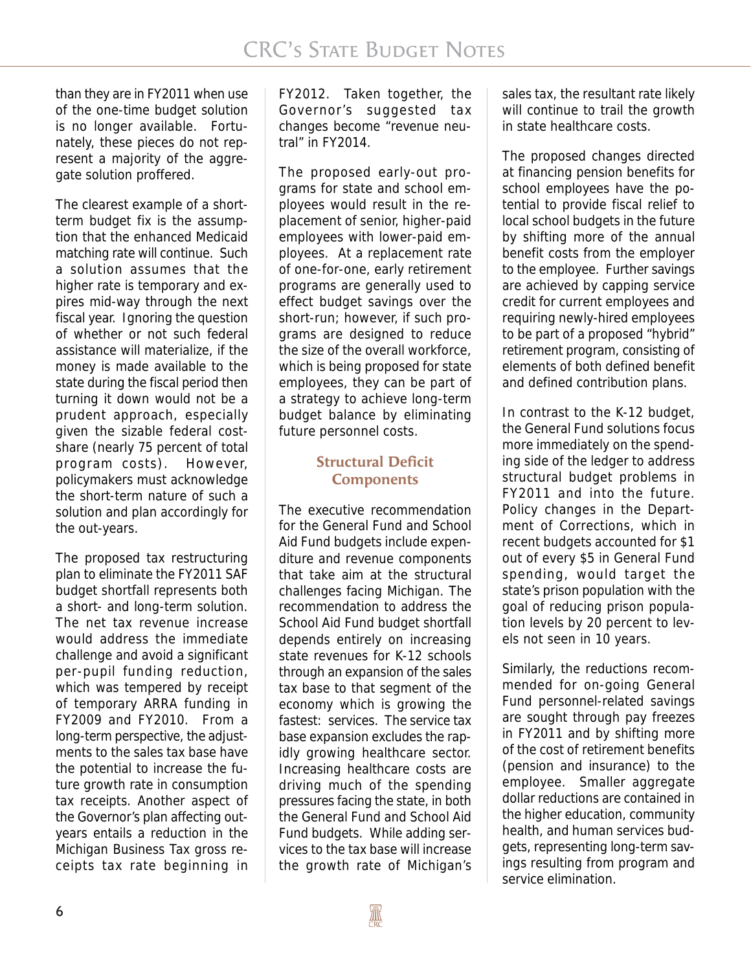than they are in FY2011 when use of the one-time budget solution is no longer available. Fortunately, these pieces do not represent a majority of the aggregate solution proffered.

The clearest example of a shortterm budget fix is the assumption that the enhanced Medicaid matching rate will continue. Such a solution assumes that the higher rate is temporary and expires mid-way through the next fiscal year. Ignoring the question of whether or not such federal assistance will materialize, if the money is made available to the state during the fiscal period then turning it down would not be a prudent approach, especially given the sizable federal costshare (nearly 75 percent of total program costs). However, policymakers must acknowledge the short-term nature of such a solution and plan accordingly for the out-years.

The proposed tax restructuring plan to eliminate the FY2011 SAF budget shortfall represents both a short- and long-term solution. The net tax revenue increase would address the immediate challenge and avoid a significant per-pupil funding reduction, which was tempered by receipt of temporary ARRA funding in FY2009 and FY2010. From a long-term perspective, the adjustments to the sales tax base have the potential to increase the future growth rate in consumption tax receipts. Another aspect of the Governor's plan affecting outyears entails a reduction in the Michigan Business Tax gross receipts tax rate beginning in FY2012. Taken together, the Governor's suggested tax changes become "revenue neutral" in FY2014.

The proposed early-out programs for state and school employees would result in the replacement of senior, higher-paid employees with lower-paid employees. At a replacement rate of one-for-one, early retirement programs are generally used to effect budget savings over the short-run; however, if such programs are designed to reduce the size of the overall workforce, which is being proposed for state employees, they can be part of a strategy to achieve long-term budget balance by eliminating future personnel costs.

#### **Structural Deficit Components**

The executive recommendation for the General Fund and School Aid Fund budgets include expenditure and revenue components that take aim at the structural challenges facing Michigan. The recommendation to address the School Aid Fund budget shortfall depends entirely on increasing state revenues for K-12 schools through an expansion of the sales tax base to that segment of the economy which is growing the fastest: services. The service tax base expansion excludes the rapidly growing healthcare sector. Increasing healthcare costs are driving much of the spending pressures facing the state, in both the General Fund and School Aid Fund budgets. While adding services to the tax base will increase the growth rate of Michigan's

sales tax, the resultant rate likely will continue to trail the growth in state healthcare costs.

The proposed changes directed at financing pension benefits for school employees have the potential to provide fiscal relief to local school budgets in the future by shifting more of the annual benefit costs from the employer to the employee. Further savings are achieved by capping service credit for current employees and requiring newly-hired employees to be part of a proposed "hybrid" retirement program, consisting of elements of both defined benefit and defined contribution plans.

In contrast to the K-12 budget, the General Fund solutions focus more immediately on the spending side of the ledger to address structural budget problems in FY2011 and into the future. Policy changes in the Department of Corrections, which in recent budgets accounted for \$1 out of every \$5 in General Fund spending, would target the state's prison population with the goal of reducing prison population levels by 20 percent to levels not seen in 10 years.

Similarly, the reductions recommended for on-going General Fund personnel-related savings are sought through pay freezes in FY2011 and by shifting more of the cost of retirement benefits (pension and insurance) to the employee. Smaller aggregate dollar reductions are contained in the higher education, community health, and human services budgets, representing long-term savings resulting from program and service elimination.